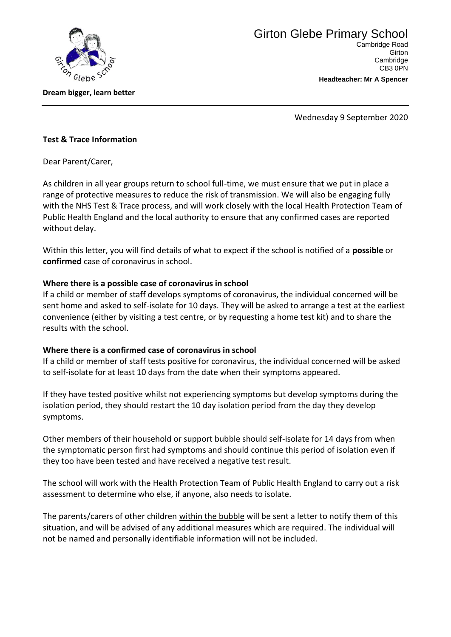

**Dream bigger, learn better**

**Headteacher: Mr A Spencer**

**Cambridge** CB3 0PN

Wednesday 9 September 2020

## **Test & Trace Information**

Dear Parent/Carer,

As children in all year groups return to school full-time, we must ensure that we put in place a range of protective measures to reduce the risk of transmission. We will also be engaging fully with the NHS Test & Trace process, and will work closely with the local Health Protection Team of Public Health England and the local authority to ensure that any confirmed cases are reported without delay.

Within this letter, you will find details of what to expect if the school is notified of a **possible** or **confirmed** case of coronavirus in school.

## **Where there is a possible case of coronavirus in school**

If a child or member of staff develops symptoms of coronavirus, the individual concerned will be sent home and asked to self-isolate for 10 days. They will be asked to arrange a test at the earliest convenience (either by visiting a test centre, or by requesting a home test kit) and to share the results with the school.

## **Where there is a confirmed case of coronavirus in school**

If a child or member of staff tests positive for coronavirus, the individual concerned will be asked to self-isolate for at least 10 days from the date when their symptoms appeared.

If they have tested positive whilst not experiencing symptoms but develop symptoms during the isolation period, they should restart the 10 day isolation period from the day they develop symptoms.

Other members of their household or support bubble should self-isolate for 14 days from when the symptomatic person first had symptoms and should continue this period of isolation even if they too have been tested and have received a negative test result.

The school will work with the Health Protection Team of Public Health England to carry out a risk assessment to determine who else, if anyone, also needs to isolate.

The parents/carers of other children within the bubble will be sent a letter to notify them of this situation, and will be advised of any additional measures which are required. The individual will not be named and personally identifiable information will not be included.